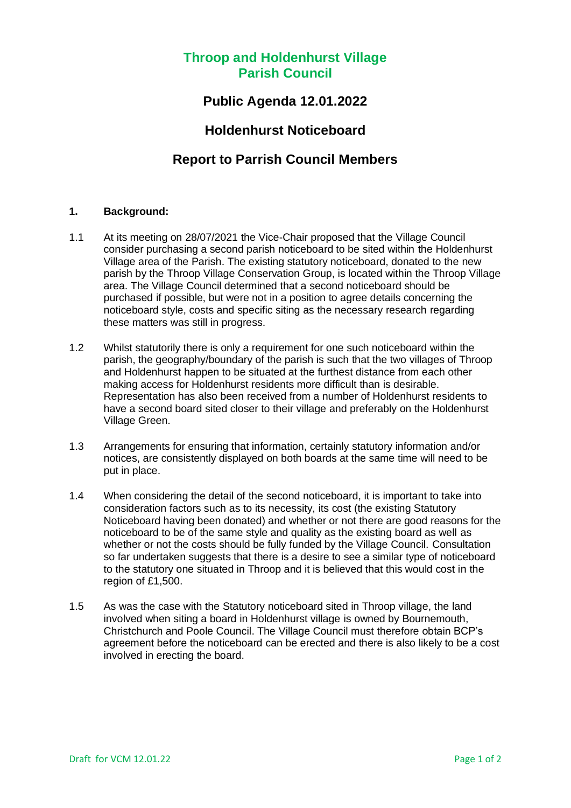## **Throop and Holdenhurst Village Parish Council**

## **Public Agenda 12.01.2022**

## **Holdenhurst Noticeboard**

# **Report to Parrish Council Members**

#### **1. Background:**

- 1.1 At its meeting on 28/07/2021 the Vice-Chair proposed that the Village Council consider purchasing a second parish noticeboard to be sited within the Holdenhurst Village area of the Parish. The existing statutory noticeboard, donated to the new parish by the Throop Village Conservation Group, is located within the Throop Village area. The Village Council determined that a second noticeboard should be purchased if possible, but were not in a position to agree details concerning the noticeboard style, costs and specific siting as the necessary research regarding these matters was still in progress.
- 1.2 Whilst statutorily there is only a requirement for one such noticeboard within the parish, the geography/boundary of the parish is such that the two villages of Throop and Holdenhurst happen to be situated at the furthest distance from each other making access for Holdenhurst residents more difficult than is desirable. Representation has also been received from a number of Holdenhurst residents to have a second board sited closer to their village and preferably on the Holdenhurst Village Green.
- 1.3 Arrangements for ensuring that information, certainly statutory information and/or notices, are consistently displayed on both boards at the same time will need to be put in place.
- 1.4 When considering the detail of the second noticeboard, it is important to take into consideration factors such as to its necessity, its cost (the existing Statutory Noticeboard having been donated) and whether or not there are good reasons for the noticeboard to be of the same style and quality as the existing board as well as whether or not the costs should be fully funded by the Village Council. Consultation so far undertaken suggests that there is a desire to see a similar type of noticeboard to the statutory one situated in Throop and it is believed that this would cost in the region of £1,500.
- 1.5 As was the case with the Statutory noticeboard sited in Throop village, the land involved when siting a board in Holdenhurst village is owned by Bournemouth, Christchurch and Poole Council. The Village Council must therefore obtain BCP's agreement before the noticeboard can be erected and there is also likely to be a cost involved in erecting the board.